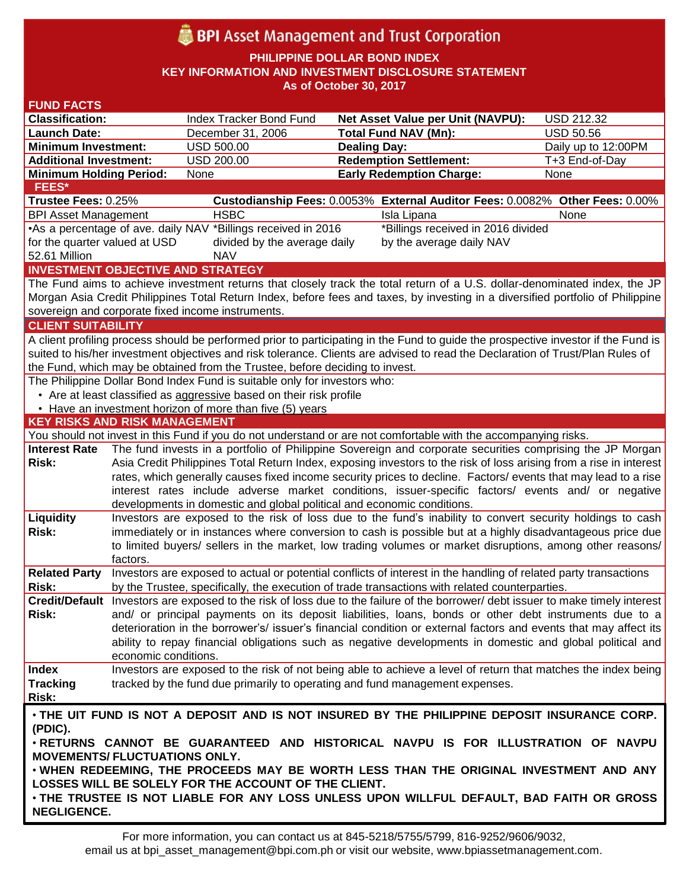# **BPI** Asset Management and Trust Corporation

**PHILIPPINE DOLLAR BOND INDEX**

**KEY INFORMATION AND INVESTMENT DISCLOSURE STATEMENT**

**As of October 30, 2017**

| <b>FUND FACTS</b>                                                                                                               |                                                                                                                                                                                                                          |                                                                                                                                                                                                                      |                                                                                                                                    |                     |  |  |  |  |  |  |
|---------------------------------------------------------------------------------------------------------------------------------|--------------------------------------------------------------------------------------------------------------------------------------------------------------------------------------------------------------------------|----------------------------------------------------------------------------------------------------------------------------------------------------------------------------------------------------------------------|------------------------------------------------------------------------------------------------------------------------------------|---------------------|--|--|--|--|--|--|
| <b>Classification:</b>                                                                                                          |                                                                                                                                                                                                                          | Index Tracker Bond Fund                                                                                                                                                                                              | Net Asset Value per Unit (NAVPU):                                                                                                  | <b>USD 212.32</b>   |  |  |  |  |  |  |
| <b>Launch Date:</b>                                                                                                             |                                                                                                                                                                                                                          | December 31, 2006                                                                                                                                                                                                    | <b>Total Fund NAV (Mn):</b>                                                                                                        | <b>USD 50.56</b>    |  |  |  |  |  |  |
| <b>Minimum Investment:</b>                                                                                                      |                                                                                                                                                                                                                          | <b>USD 500.00</b>                                                                                                                                                                                                    | <b>Dealing Day:</b>                                                                                                                | Daily up to 12:00PM |  |  |  |  |  |  |
| <b>Additional Investment:</b>                                                                                                   |                                                                                                                                                                                                                          | USD 200.00                                                                                                                                                                                                           | <b>Redemption Settlement:</b>                                                                                                      | T+3 End-of-Day      |  |  |  |  |  |  |
| <b>Minimum Holding Period:</b>                                                                                                  |                                                                                                                                                                                                                          | None                                                                                                                                                                                                                 | <b>Early Redemption Charge:</b>                                                                                                    | None                |  |  |  |  |  |  |
| <b>FEES*</b>                                                                                                                    |                                                                                                                                                                                                                          |                                                                                                                                                                                                                      |                                                                                                                                    |                     |  |  |  |  |  |  |
| Trustee Fees: 0.25%                                                                                                             |                                                                                                                                                                                                                          |                                                                                                                                                                                                                      | Custodianship Fees: 0.0053% External Auditor Fees: 0.0082% Other Fees: 0.00%                                                       |                     |  |  |  |  |  |  |
| <b>BPI Asset Management</b>                                                                                                     |                                                                                                                                                                                                                          | <b>HSBC</b>                                                                                                                                                                                                          | Isla Lipana                                                                                                                        | None                |  |  |  |  |  |  |
|                                                                                                                                 |                                                                                                                                                                                                                          | •As a percentage of ave. daily NAV *Billings received in 2016                                                                                                                                                        | *Billings received in 2016 divided                                                                                                 |                     |  |  |  |  |  |  |
| for the quarter valued at USD                                                                                                   |                                                                                                                                                                                                                          | divided by the average daily                                                                                                                                                                                         | by the average daily NAV                                                                                                           |                     |  |  |  |  |  |  |
| 52.61 Million                                                                                                                   |                                                                                                                                                                                                                          | <b>NAV</b>                                                                                                                                                                                                           |                                                                                                                                    |                     |  |  |  |  |  |  |
|                                                                                                                                 |                                                                                                                                                                                                                          | <b>INVESTMENT OBJECTIVE AND STRATEGY</b>                                                                                                                                                                             |                                                                                                                                    |                     |  |  |  |  |  |  |
| The Fund aims to achieve investment returns that closely track the total return of a U.S. dollar-denominated index, the JP      |                                                                                                                                                                                                                          |                                                                                                                                                                                                                      |                                                                                                                                    |                     |  |  |  |  |  |  |
| Morgan Asia Credit Philippines Total Return Index, before fees and taxes, by investing in a diversified portfolio of Philippine |                                                                                                                                                                                                                          |                                                                                                                                                                                                                      |                                                                                                                                    |                     |  |  |  |  |  |  |
|                                                                                                                                 |                                                                                                                                                                                                                          | sovereign and corporate fixed income instruments.                                                                                                                                                                    |                                                                                                                                    |                     |  |  |  |  |  |  |
| <b>CLIENT SUITABILITY</b>                                                                                                       |                                                                                                                                                                                                                          |                                                                                                                                                                                                                      |                                                                                                                                    |                     |  |  |  |  |  |  |
|                                                                                                                                 |                                                                                                                                                                                                                          |                                                                                                                                                                                                                      | A client profiling process should be performed prior to participating in the Fund to guide the prospective investor if the Fund is |                     |  |  |  |  |  |  |
| suited to his/her investment objectives and risk tolerance. Clients are advised to read the Declaration of Trust/Plan Rules of  |                                                                                                                                                                                                                          |                                                                                                                                                                                                                      |                                                                                                                                    |                     |  |  |  |  |  |  |
| the Fund, which may be obtained from the Trustee, before deciding to invest.                                                    |                                                                                                                                                                                                                          |                                                                                                                                                                                                                      |                                                                                                                                    |                     |  |  |  |  |  |  |
|                                                                                                                                 |                                                                                                                                                                                                                          | The Philippine Dollar Bond Index Fund is suitable only for investors who:                                                                                                                                            |                                                                                                                                    |                     |  |  |  |  |  |  |
|                                                                                                                                 |                                                                                                                                                                                                                          | • Are at least classified as aggressive based on their risk profile                                                                                                                                                  |                                                                                                                                    |                     |  |  |  |  |  |  |
|                                                                                                                                 |                                                                                                                                                                                                                          | • Have an investment horizon of more than five (5) years                                                                                                                                                             |                                                                                                                                    |                     |  |  |  |  |  |  |
| <b>KEY RISKS AND RISK MANAGEMENT</b>                                                                                            |                                                                                                                                                                                                                          |                                                                                                                                                                                                                      |                                                                                                                                    |                     |  |  |  |  |  |  |
|                                                                                                                                 |                                                                                                                                                                                                                          |                                                                                                                                                                                                                      | You should not invest in this Fund if you do not understand or are not comfortable with the accompanying risks.                    |                     |  |  |  |  |  |  |
| <b>Interest Rate</b><br><b>Risk:</b>                                                                                            |                                                                                                                                                                                                                          |                                                                                                                                                                                                                      | The fund invests in a portfolio of Philippine Sovereign and corporate securities comprising the JP Morgan                          |                     |  |  |  |  |  |  |
|                                                                                                                                 |                                                                                                                                                                                                                          | Asia Credit Philippines Total Return Index, exposing investors to the risk of loss arising from a rise in interest                                                                                                   |                                                                                                                                    |                     |  |  |  |  |  |  |
|                                                                                                                                 |                                                                                                                                                                                                                          | rates, which generally causes fixed income security prices to decline. Factors/ events that may lead to a rise<br>interest rates include adverse market conditions, issuer-specific factors/ events and/ or negative |                                                                                                                                    |                     |  |  |  |  |  |  |
|                                                                                                                                 |                                                                                                                                                                                                                          | developments in domestic and global political and economic conditions.                                                                                                                                               |                                                                                                                                    |                     |  |  |  |  |  |  |
| Liquidity                                                                                                                       |                                                                                                                                                                                                                          |                                                                                                                                                                                                                      |                                                                                                                                    |                     |  |  |  |  |  |  |
| <b>Risk:</b>                                                                                                                    | Investors are exposed to the risk of loss due to the fund's inability to convert security holdings to cash<br>immediately or in instances where conversion to cash is possible but at a highly disadvantageous price due |                                                                                                                                                                                                                      |                                                                                                                                    |                     |  |  |  |  |  |  |
|                                                                                                                                 |                                                                                                                                                                                                                          | to limited buyers/ sellers in the market, low trading volumes or market disruptions, among other reasons/                                                                                                            |                                                                                                                                    |                     |  |  |  |  |  |  |
|                                                                                                                                 | factors.                                                                                                                                                                                                                 |                                                                                                                                                                                                                      |                                                                                                                                    |                     |  |  |  |  |  |  |
| <b>Related Party</b>                                                                                                            |                                                                                                                                                                                                                          |                                                                                                                                                                                                                      | Investors are exposed to actual or potential conflicts of interest in the handling of related party transactions                   |                     |  |  |  |  |  |  |
| Risk:                                                                                                                           |                                                                                                                                                                                                                          |                                                                                                                                                                                                                      | by the Trustee, specifically, the execution of trade transactions with related counterparties.                                     |                     |  |  |  |  |  |  |
|                                                                                                                                 |                                                                                                                                                                                                                          |                                                                                                                                                                                                                      | Credit/Default Investors are exposed to the risk of loss due to the failure of the borrower/debt issuer to make timely interest    |                     |  |  |  |  |  |  |
| Risk:                                                                                                                           | and/ or principal payments on its deposit liabilities, loans, bonds or other debt instruments due to a                                                                                                                   |                                                                                                                                                                                                                      |                                                                                                                                    |                     |  |  |  |  |  |  |
|                                                                                                                                 | deterioration in the borrower's/ issuer's financial condition or external factors and events that may affect its                                                                                                         |                                                                                                                                                                                                                      |                                                                                                                                    |                     |  |  |  |  |  |  |
|                                                                                                                                 |                                                                                                                                                                                                                          |                                                                                                                                                                                                                      | ability to repay financial obligations such as negative developments in domestic and global political and                          |                     |  |  |  |  |  |  |
|                                                                                                                                 | economic conditions.                                                                                                                                                                                                     |                                                                                                                                                                                                                      |                                                                                                                                    |                     |  |  |  |  |  |  |
| <b>Index</b>                                                                                                                    |                                                                                                                                                                                                                          |                                                                                                                                                                                                                      | Investors are exposed to the risk of not being able to achieve a level of return that matches the index being                      |                     |  |  |  |  |  |  |
| <b>Tracking</b>                                                                                                                 |                                                                                                                                                                                                                          |                                                                                                                                                                                                                      | tracked by the fund due primarily to operating and fund management expenses.                                                       |                     |  |  |  |  |  |  |
| Risk:                                                                                                                           |                                                                                                                                                                                                                          |                                                                                                                                                                                                                      |                                                                                                                                    |                     |  |  |  |  |  |  |
| . THE UIT FUND IS NOT A DEPOSIT AND IS NOT INSURED BY THE PHILIPPINE DEPOSIT INSURANCE CORP.                                    |                                                                                                                                                                                                                          |                                                                                                                                                                                                                      |                                                                                                                                    |                     |  |  |  |  |  |  |
| (PDIC).                                                                                                                         |                                                                                                                                                                                                                          |                                                                                                                                                                                                                      |                                                                                                                                    |                     |  |  |  |  |  |  |
| . RETURNS CANNOT BE GUARANTEED AND HISTORICAL NAVPU IS FOR ILLUSTRATION OF NAVPU                                                |                                                                                                                                                                                                                          |                                                                                                                                                                                                                      |                                                                                                                                    |                     |  |  |  |  |  |  |
| <b>MOVEMENTS/ FLUCTUATIONS ONLY.</b>                                                                                            |                                                                                                                                                                                                                          |                                                                                                                                                                                                                      |                                                                                                                                    |                     |  |  |  |  |  |  |
| . WHEN REDEEMING, THE PROCEEDS MAY BE WORTH LESS THAN THE ORIGINAL INVESTMENT AND ANY                                           |                                                                                                                                                                                                                          |                                                                                                                                                                                                                      |                                                                                                                                    |                     |  |  |  |  |  |  |
| LOSSES WILL BE SOLELY FOR THE ACCOUNT OF THE CLIENT.                                                                            |                                                                                                                                                                                                                          |                                                                                                                                                                                                                      |                                                                                                                                    |                     |  |  |  |  |  |  |
|                                                                                                                                 |                                                                                                                                                                                                                          |                                                                                                                                                                                                                      | . THE TRUSTEE IS NOT LIABLE FOR ANY LOSS UNLESS UPON WILLFUL DEFAULT, BAD FAITH OR GROSS                                           |                     |  |  |  |  |  |  |
| <b>NEGLIGENCE.</b>                                                                                                              |                                                                                                                                                                                                                          |                                                                                                                                                                                                                      |                                                                                                                                    |                     |  |  |  |  |  |  |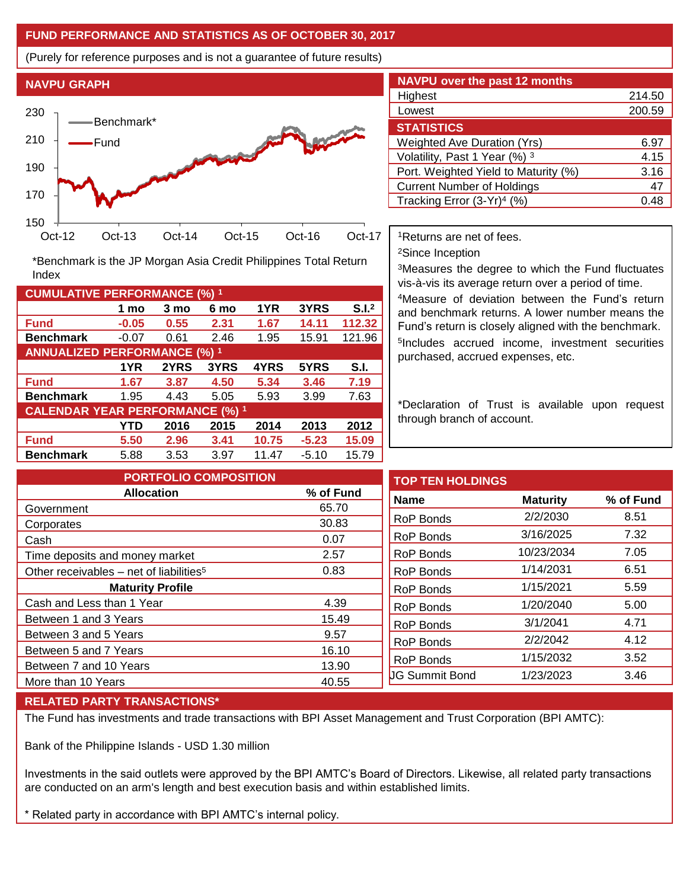## **FUND PERFORMANCE AND STATISTICS AS OF OCTOBER 30, 2017**

(Purely for reference purposes and is not a guarantee of future results)



**Fund -0.05 0.55 2.31 1.67 14.11 112.32 Benchmark** -0.07 0.61 2.46 1.95 15.91 121.96

\*Benchmark is the JP Morgan Asia Credit Philippines Total Return

**Fund 1.67 3.87 4.50 5.34 3.46 7.19 Benchmark** 1.95 4.43 5.05 5.93 3.99 7.63

**Fund 5.50 2.96 3.41 10.75 -5.23 15.09 Benchmark** 5.88 3.53 3.97 11.47 -5.10 15.79

**1 mo 3 mo 6 mo 1YR 3YRS S.I.<sup>2</sup>**

**1YR 2YRS 3YRS 4YRS 5YRS S.I.**

**YTD 2016 2015 2014 2013 2012**

| <b>NAVPU</b> over the past 12 months   |        |  |  |  |  |  |  |
|----------------------------------------|--------|--|--|--|--|--|--|
| Highest                                | 214.50 |  |  |  |  |  |  |
| Lowest                                 | 200.59 |  |  |  |  |  |  |
| <b>STATISTICS</b>                      |        |  |  |  |  |  |  |
| <b>Weighted Ave Duration (Yrs)</b>     | 6.97   |  |  |  |  |  |  |
| Volatility, Past 1 Year (%) 3          | 4.15   |  |  |  |  |  |  |
| Port. Weighted Yield to Maturity (%)   | 3.16   |  |  |  |  |  |  |
| <b>Current Number of Holdings</b>      | 47     |  |  |  |  |  |  |
| Tracking Error (3-Yr) <sup>4</sup> (%) | () 4.X |  |  |  |  |  |  |

<sup>1</sup>Returns are net of fees.

<sup>2</sup>Since Inception

<sup>3</sup>Measures the degree to which the Fund fluctuates vis-à-vis its average return over a period of time.

<sup>4</sup>Measure of deviation between the Fund's return and benchmark returns. A lower number means the Fund's return is closely aligned with the benchmark. 5 Includes accrued income, investment securities purchased, accrued expenses, etc.

\*Declaration of Trust is available upon request through branch of account.

| <b>PORTFOLIO COMPOSITION</b>                        |           | <b>TOP TEN HOLDINGS</b> |                 |  |
|-----------------------------------------------------|-----------|-------------------------|-----------------|--|
| <b>Allocation</b>                                   | % of Fund | <b>Name</b>             | <b>Maturity</b> |  |
| Government                                          | 65.70     |                         | 2/2/2030        |  |
| Corporates                                          | 30.83     | <b>RoP Bonds</b>        |                 |  |
| Cash                                                | 0.07      | <b>RoP Bonds</b>        | 3/16/2025       |  |
| Time deposits and money market                      | 2.57      | <b>RoP Bonds</b>        | 10/23/2034      |  |
| Other receivables – net of liabilities <sup>5</sup> | 0.83      | <b>RoP Bonds</b>        | 1/14/2031       |  |
| <b>Maturity Profile</b>                             |           | <b>RoP Bonds</b>        | 1/15/2021       |  |
| Cash and Less than 1 Year                           | 4.39      | RoP Bonds               | 1/20/2040       |  |
| Between 1 and 3 Years                               | 15.49     | <b>RoP Bonds</b>        | 3/1/2041        |  |
| Between 3 and 5 Years                               | 9.57      |                         | 2/2/2042        |  |
| Between 5 and 7 Years                               | 16.10     | RoP Bonds               |                 |  |
| Between 7 and 10 Years                              | 13.90     | <b>RoP Bonds</b>        | 1/15/2032       |  |
| More than 10 Years                                  | 40.55     | <b>UG Summit Bond</b>   | 1/23/2023       |  |

### **RELATED PARTY TRANSACTIONS\***

**CUMULATIVE PERFORMANCE (%) <sup>1</sup>**

Index

**ANNUALIZED PERFORMANCE (%) <sup>1</sup>**

**CALENDAR YEAR PERFORMANCE (%) <sup>1</sup>**

The Fund has investments and trade transactions with BPI Asset Management and Trust Corporation (BPI AMTC):

Bank of the Philippine Islands - USD 1.30 million

Investments in the said outlets were approved by the BPI AMTC's Board of Directors. Likewise, all related party transactions are conducted on an arm's length and best execution basis and within established limits.

\* Related party in accordance with BPI AMTC's internal policy.